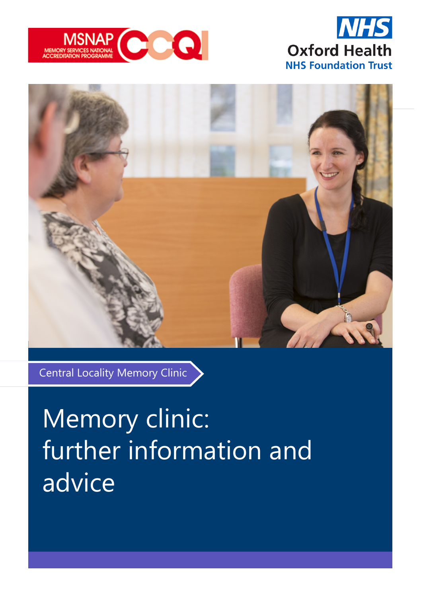





Central Locality Memory Clinic

# Memory clinic: further information and advice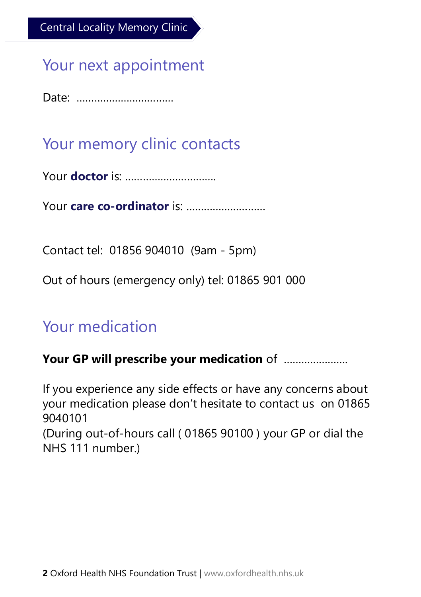## Your next appointment

Date: ……………………………

## Your memory clinic contacts

Your **doctor** is: ………………………….

Your **care co-ordinator** is: ………………………

Contact tel: 01856 904010 (9am - 5pm)

Out of hours (emergency only) tel: 01865 901 000

## Your medication

#### **Your GP will prescribe your medication** of ………………….

If you experience any side effects or have any concerns about your medication please don't hesitate to contact us on 01865 9040101

(During out-of-hours call ( 01865 90100 ) your GP or dial the NHS 111 number.)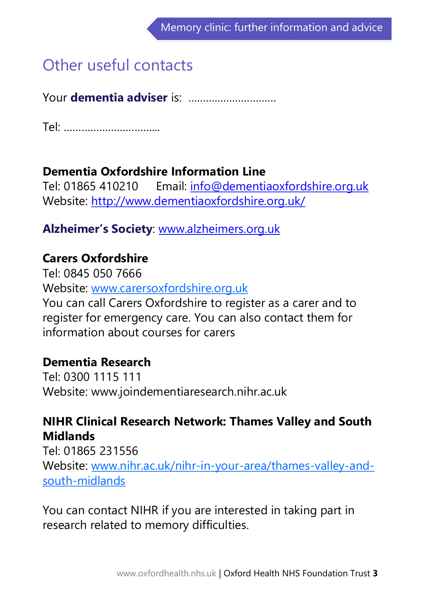## Other useful contacts

Your **dementia adviser** is: …………………………

Tel: …………………………...

#### **Dementia Oxfordshire Information Line**

Tel: 01865 410210 Email: info@dementiaoxfordshire.org.uk Website:<http://www.dementiaoxfordshire.org.uk/>

#### **Alzheimer's Society**: [www.alzheimers.org.uk](http://www.alzheimers.org.uk)

#### **Carers Oxfordshire**

Tel: 0845 050 7666 Website: [www.carersoxfordshire.org.uk](http://www.carersoxfordshire.org.uk) You can call Carers Oxfordshire to register as a carer and to register for emergency care. You can also contact them for information about courses for carers

#### **Dementia Research**

Tel: 0300 1115 111 Website: www.joindementiaresearch.nihr.ac.uk

### **NIHR Clinical Research Network: Thames Valley and South Midlands**

Tel: 01865 231556 Website: [www.nihr.ac.uk/nihr](http://www.nihr.ac.uk/nihr-in-your-area/thames-valley-and-south-midlands)-in-your-area/thames-valley-andsouth-[midlands](http://www.nihr.ac.uk/nihr-in-your-area/thames-valley-and-south-midlands)

You can contact NIHR if you are interested in taking part in research related to memory difficulties.